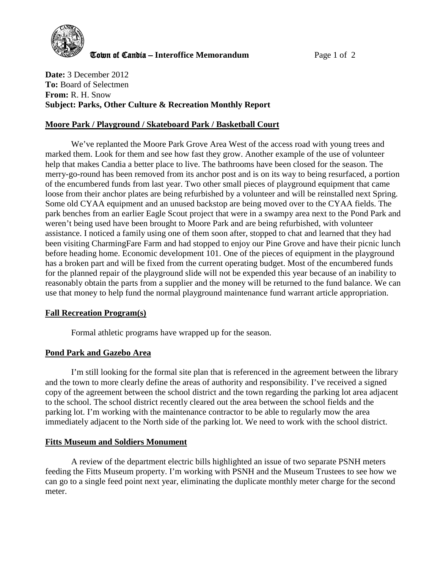

Town of Candia – **Interoffice Memorandum** Page 1 of 2

**Date:** 3 December 2012 **To:** Board of Selectmen **From:** R. H. Snow **Subject: Parks, Other Culture & Recreation Monthly Report**

# **Moore Park / Playground / Skateboard Park / Basketball Court**

We've replanted the Moore Park Grove Area West of the access road with young trees and marked them. Look for them and see how fast they grow. Another example of the use of volunteer help that makes Candia a better place to live. The bathrooms have been closed for the season. The merry-go-round has been removed from its anchor post and is on its way to being resurfaced, a portion of the encumbered funds from last year. Two other small pieces of playground equipment that came loose from their anchor plates are being refurbished by a volunteer and will be reinstalled next Spring. Some old CYAA equipment and an unused backstop are being moved over to the CYAA fields. The park benches from an earlier Eagle Scout project that were in a swampy area next to the Pond Park and weren't being used have been brought to Moore Park and are being refurbished, with volunteer assistance. I noticed a family using one of them soon after, stopped to chat and learned that they had been visiting CharmingFare Farm and had stopped to enjoy our Pine Grove and have their picnic lunch before heading home. Economic development 101. One of the pieces of equipment in the playground has a broken part and will be fixed from the current operating budget. Most of the encumbered funds for the planned repair of the playground slide will not be expended this year because of an inability to reasonably obtain the parts from a supplier and the money will be returned to the fund balance. We can use that money to help fund the normal playground maintenance fund warrant article appropriation.

# **Fall Recreation Program(s)**

Formal athletic programs have wrapped up for the season.

### **Pond Park and Gazebo Area**

I'm still looking for the formal site plan that is referenced in the agreement between the library and the town to more clearly define the areas of authority and responsibility. I've received a signed copy of the agreement between the school district and the town regarding the parking lot area adjacent to the school. The school district recently cleared out the area between the school fields and the parking lot. I'm working with the maintenance contractor to be able to regularly mow the area immediately adjacent to the North side of the parking lot. We need to work with the school district.

### **Fitts Museum and Soldiers Monument**

A review of the department electric bills highlighted an issue of two separate PSNH meters feeding the Fitts Museum property. I'm working with PSNH and the Museum Trustees to see how we can go to a single feed point next year, eliminating the duplicate monthly meter charge for the second meter.